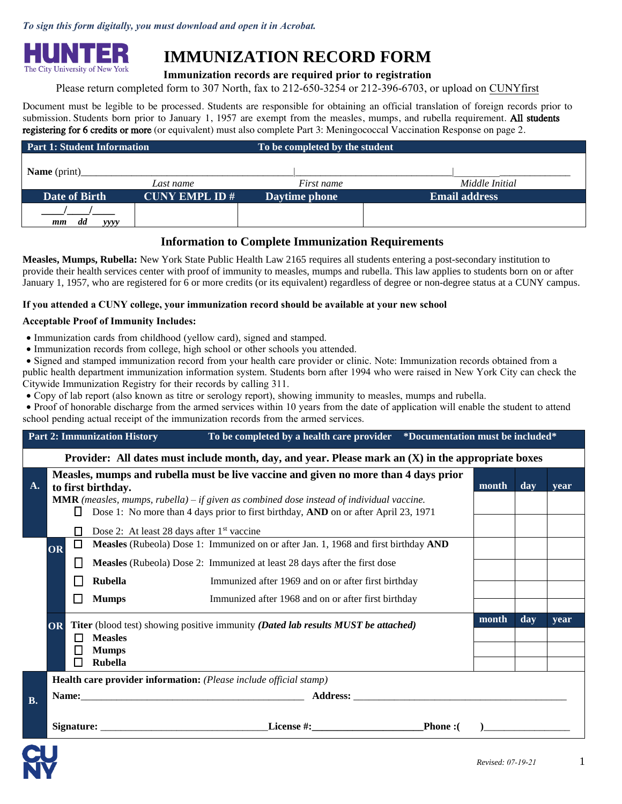*To sign this form digitally, you must download and open it in Acrobat.*



# **IMMUNIZATION RECORD FORM**

# **Immunization records are required prior to registration**

Please return completed form to 307 North, fax to 212-650-3254 or 212-396-6703, or upload on [CUNYfirst](https://hunter.cuny.edu/students/registration/policies-and-forms/cunyfirst-document-uploader/)

Document must be legible to be processed. Students are responsible for obtaining an official translation of foreign records prior to submission. Students born prior to January 1, 1957 are exempt from the measles, mumps, and rubella requirement. All students registering for 6 credits or more (or equivalent) must also complete Part 3: Meningococcal Vaccination Response on page 2.

| <b>Part 1: Student Information</b> |                      | To be completed by the student |                      |
|------------------------------------|----------------------|--------------------------------|----------------------|
| <b>Name</b> (print)                |                      |                                |                      |
|                                    | Last name            | First name                     | Middle Initial       |
| Date of Birth                      | <b>CUNY EMPL ID#</b> | Daytime phone                  | <b>Email address</b> |
|                                    |                      |                                |                      |
| dd<br>yyyy<br>mm                   |                      |                                |                      |

# **Information to Complete Immunization Requirements**

**Measles, Mumps, Rubella:** New York State Public Health Law 2165 requires all students entering a post-secondary institution to provide their health services center with proof of immunity to measles, mumps and rubella. This law applies to students born on or after January 1, 1957, who are registered for 6 or more credits (or its equivalent) regardless of degree or non-degree status at a CUNY campus.

#### **If you attended a CUNY college, your immunization record should be available at your new school**

#### **Acceptable Proof of Immunity Includes:**

- Immunization cards from childhood (yellow card), signed and stamped.
- Immunization records from college, high school or other schools you attended.

• Signed and stamped immunization record from your health care provider or clinic. Note: Immunization records obtained from a public health department immunization information system. Students born after 1994 who were raised in New York City can check the Citywide Immunization Registry for their records by calling 311.

• Copy of lab report (also known as titre or serology report), showing immunity to measles, mumps and rubella.

• Proof of honorable discharge from the armed services within 10 years from the date of application will enable the student to attend school pending actual receipt of the immunization records from the armed services.

|           | <b>Part 2: Immunization History</b><br>To be completed by a health care provider *Documentation must be included*                                                                           |   |                                                                                          |                                                                                     |                |      |      |  |  |  |
|-----------|---------------------------------------------------------------------------------------------------------------------------------------------------------------------------------------------|---|------------------------------------------------------------------------------------------|-------------------------------------------------------------------------------------|----------------|------|------|--|--|--|
|           | Provider: All dates must include month, day, and year. Please mark an $(X)$ in the appropriate boxes                                                                                        |   |                                                                                          |                                                                                     |                |      |      |  |  |  |
| <b>A.</b> |                                                                                                                                                                                             |   | to first birthday.                                                                       | Measles, mumps and rubella must be live vaccine and given no more than 4 days prior | month          | day  | vear |  |  |  |
|           | <b>MMR</b> (measles, mumps, rubella) – if given as combined dose instead of individual vaccine.<br>Dose 1: No more than 4 days prior to first birthday, AND on or after April 23, 1971<br>Ħ |   |                                                                                          |                                                                                     |                |      |      |  |  |  |
|           |                                                                                                                                                                                             |   |                                                                                          | Dose 2: At least 28 days after 1 <sup>st</sup> vaccine                              |                |      |      |  |  |  |
|           | OR                                                                                                                                                                                          | □ |                                                                                          | Measles (Rubeola) Dose 1: Immunized on or after Jan. 1, 1968 and first birthday AND |                |      |      |  |  |  |
|           |                                                                                                                                                                                             |   |                                                                                          | Measles (Rubeola) Dose 2: Immunized at least 28 days after the first dose           |                |      |      |  |  |  |
|           |                                                                                                                                                                                             |   | <b>Rubella</b>                                                                           | Immunized after 1969 and on or after first birthday                                 |                |      |      |  |  |  |
|           |                                                                                                                                                                                             | П | <b>Mumps</b>                                                                             | Immunized after 1968 and on or after first birthday                                 |                |      |      |  |  |  |
|           | <b>OR</b>                                                                                                                                                                                   |   | <b>Titer</b> (blood test) showing positive immunity (Dated lab results MUST be attached) |                                                                                     | day            | year |      |  |  |  |
|           | П                                                                                                                                                                                           |   |                                                                                          |                                                                                     | <b>Measles</b> |      |      |  |  |  |
|           |                                                                                                                                                                                             | П | <b>Mumps</b><br><b>Rubella</b>                                                           |                                                                                     |                |      |      |  |  |  |
|           |                                                                                                                                                                                             |   |                                                                                          | Health care provider information: (Please include official stamp)                   |                |      |      |  |  |  |
| <b>B.</b> |                                                                                                                                                                                             |   |                                                                                          |                                                                                     |                |      |      |  |  |  |
|           | Signature: License #:<br><b>Phone:</b>                                                                                                                                                      |   |                                                                                          |                                                                                     |                |      |      |  |  |  |